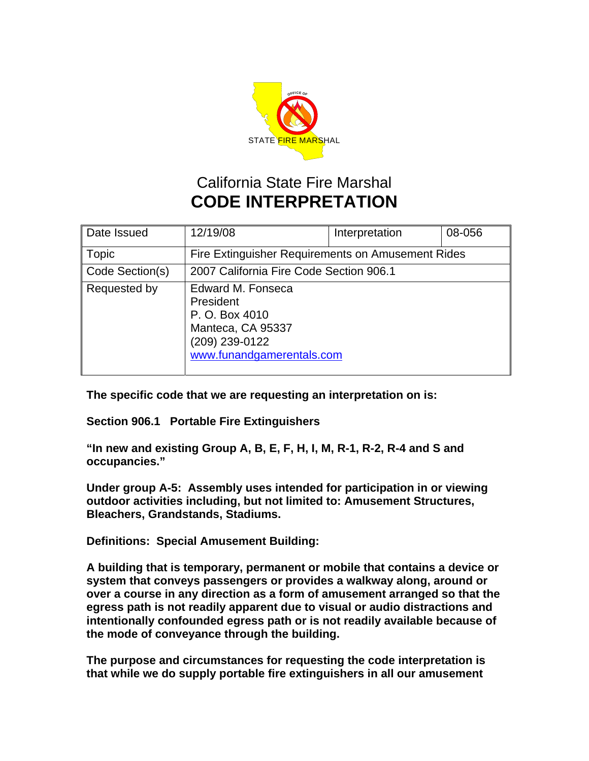

## California State Fire Marshal **CODE INTERPRETATION**

| Date Issued     | 12/19/08                                                                                                             | Interpretation | 08-056 |
|-----------------|----------------------------------------------------------------------------------------------------------------------|----------------|--------|
| Topic           | Fire Extinguisher Requirements on Amusement Rides                                                                    |                |        |
| Code Section(s) | 2007 California Fire Code Section 906.1                                                                              |                |        |
| Requested by    | Edward M. Fonseca<br>President<br>P. O. Box 4010<br>Manteca, CA 95337<br>(209) 239-0122<br>www.funandgamerentals.com |                |        |

**The specific code that we are requesting an interpretation on is:** 

**Section 906.1 Portable Fire Extinguishers** 

**"In new and existing Group A, B, E, F, H, I, M, R-1, R-2, R-4 and S and occupancies."** 

**Under group A-5: Assembly uses intended for participation in or viewing outdoor activities including, but not limited to: Amusement Structures, Bleachers, Grandstands, Stadiums.** 

**Definitions: Special Amusement Building:** 

**A building that is temporary, permanent or mobile that contains a device or system that conveys passengers or provides a walkway along, around or over a course in any direction as a form of amusement arranged so that the egress path is not readily apparent due to visual or audio distractions and intentionally confounded egress path or is not readily available because of the mode of conveyance through the building.** 

**The purpose and circumstances for requesting the code interpretation is that while we do supply portable fire extinguishers in all our amusement**